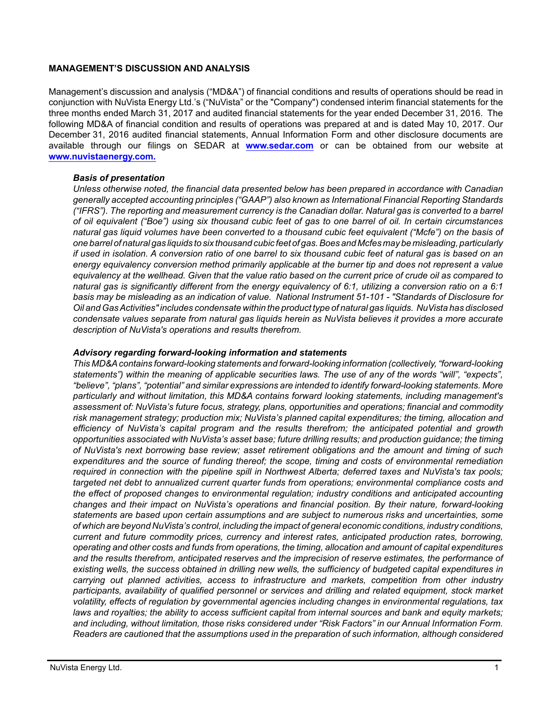### **MANAGEMENT'S DISCUSSION AND ANALYSIS**

Management's discussion and analysis ("MD&A") of financial conditions and results of operations should be read in conjunction with NuVista Energy Ltd.'s ("NuVista" or the "Company") condensed interim financial statements for the three months ended March 31, 2017 and audited financial statements for the year ended December 31, 2016. The following MD&A of financial condition and results of operations was prepared at and is dated May 10, 2017. Our December 31, 2016 audited financial statements, Annual Information Form and other disclosure documents are available through our filings on SEDAR at **[www.sedar.com](http://www.sedar.com)** or can be obtained from our website at **[www.nuvistaenergy.com](http://www.nuvistaenergy.com).**

### *Basis of presentation*

*Unless otherwise noted, the financial data presented below has been prepared in accordance with Canadian generally accepted accounting principles ("GAAP") also known as International Financial Reporting Standards ("IFRS"). The reporting and measurement currency is the Canadian dollar. Natural gas is converted to a barrel of oil equivalent ("Boe") using six thousand cubic feet of gas to one barrel of oil. In certain circumstances natural gas liquid volumes have been converted to a thousand cubic feet equivalent ("Mcfe") on the basis of one barrel of natural gas liquids to six thousand cubic feet of gas. Boes and Mcfes may be misleading, particularly if used in isolation. A conversion ratio of one barrel to six thousand cubic feet of natural gas is based on an energy equivalency conversion method primarily applicable at the burner tip and does not represent a value equivalency at the wellhead. Given that the value ratio based on the current price of crude oil as compared to natural gas is significantly different from the energy equivalency of 6:1, utilizing a conversion ratio on a 6:1 basis may be misleading as an indication of value. National Instrument 51-101 - "Standards of Disclosure for Oil and Gas Activities" includes condensate within the product type of natural gas liquids. NuVista has disclosed condensate values separate from natural gas liquids herein as NuVista believes it provides a more accurate description of NuVista's operations and results therefrom.* 

#### *Advisory regarding forward-looking information and statements*

*This MD&A contains forward-looking statements and forward-looking information (collectively, "forward-looking statements") within the meaning of applicable securities laws. The use of any of the words "will", "expects", "believe", "plans", "potential" and similar expressions are intended to identify forward-looking statements. More particularly and without limitation, this MD&A contains forward looking statements, including management's assessment of: NuVista's future focus, strategy, plans, opportunities and operations; financial and commodity risk management strategy; production mix; NuVista's planned capital expenditures; the timing, allocation and efficiency of NuVista's capital program and the results therefrom; the anticipated potential and growth opportunities associated with NuVista's asset base; future drilling results; and production guidance; the timing of NuVista's next borrowing base review; asset retirement obligations and the amount and timing of such expenditures and the source of funding thereof; the scope, timing and costs of environmental remediation required in connection with the pipeline spill in Northwest Alberta; deferred taxes and NuVista's tax pools; targeted net debt to annualized current quarter funds from operations; environmental compliance costs and the effect of proposed changes to environmental regulation; industry conditions and anticipated accounting changes and their impact on NuVista's operations and financial position. By their nature, forward-looking statements are based upon certain assumptions and are subject to numerous risks and uncertainties, some of which are beyond NuVista's control, including the impact of general economic conditions, industry conditions, current and future commodity prices, currency and interest rates, anticipated production rates, borrowing, operating and other costs and funds from operations, the timing, allocation and amount of capital expenditures and the results therefrom, anticipated reserves and the imprecision of reserve estimates, the performance of existing wells, the success obtained in drilling new wells, the sufficiency of budgeted capital expenditures in carrying out planned activities, access to infrastructure and markets, competition from other industry participants, availability of qualified personnel or services and drilling and related equipment, stock market volatility, effects of regulation by governmental agencies including changes in environmental regulations, tax laws and royalties; the ability to access sufficient capital from internal sources and bank and equity markets; and including, without limitation, those risks considered under "Risk Factors" in our Annual Information Form. Readers are cautioned that the assumptions used in the preparation of such information, although considered*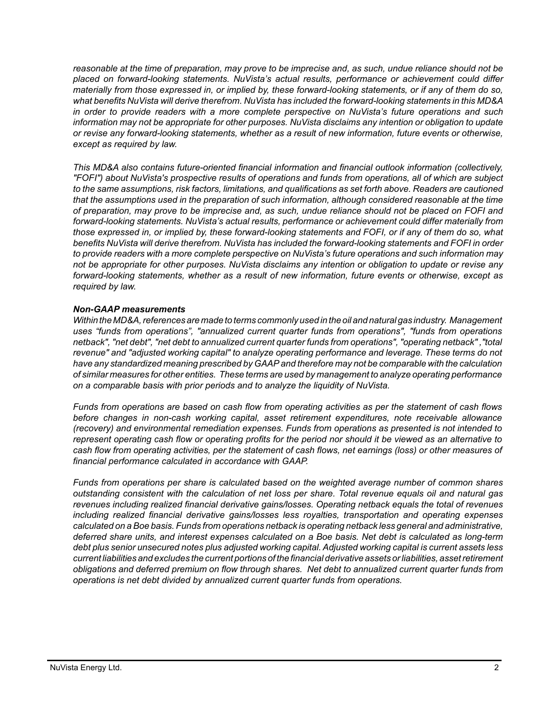*reasonable at the time of preparation, may prove to be imprecise and, as such, undue reliance should not be placed on forward-looking statements. NuVista's actual results, performance or achievement could differ materially from those expressed in, or implied by, these forward-looking statements, or if any of them do so, what benefits NuVista will derive therefrom. NuVista has included the forward-looking statements in this MD&A in order to provide readers with a more complete perspective on NuVista's future operations and such information may not be appropriate for other purposes. NuVista disclaims any intention or obligation to update or revise any forward-looking statements, whether as a result of new information, future events or otherwise, except as required by law.*

*This MD&A also contains future-oriented financial information and financial outlook information (collectively, "FOFI") about NuVista's prospective results of operations and funds from operations, all of which are subject to the same assumptions, risk factors, limitations, and qualifications as set forth above. Readers are cautioned that the assumptions used in the preparation of such information, although considered reasonable at the time of preparation, may prove to be imprecise and, as such, undue reliance should not be placed on FOFI and forward-looking statements. NuVista's actual results, performance or achievement could differ materially from those expressed in, or implied by, these forward-looking statements and FOFI, or if any of them do so, what benefits NuVista will derive therefrom. NuVista has included the forward-looking statements and FOFI in order to provide readers with a more complete perspective on NuVista's future operations and such information may not be appropriate for other purposes. NuVista disclaims any intention or obligation to update or revise any forward-looking statements, whether as a result of new information, future events or otherwise, except as required by law.*

### *Non-GAAP measurements*

*Within the MD&A, references are made to terms commonly used in the oil and natural gas industry. Management uses "funds from operations", "annualized current quarter funds from operations", "funds from operations netback", "net debt", "net debt to annualized current quarter funds from operations", "operating netback" ,"total revenue" and "adjusted working capital" to analyze operating performance and leverage. These terms do not have any standardized meaning prescribed by GAAP and therefore may not be comparable with the calculation of similar measures for other entities. These terms are used by management to analyze operating performance on a comparable basis with prior periods and to analyze the liquidity of NuVista.* 

*Funds from operations are based on cash flow from operating activities as per the statement of cash flows before changes in non-cash working capital, asset retirement expenditures, note receivable allowance (recovery) and environmental remediation expenses. Funds from operations as presented is not intended to represent operating cash flow or operating profits for the period nor should it be viewed as an alternative to cash flow from operating activities, per the statement of cash flows, net earnings (loss) or other measures of financial performance calculated in accordance with GAAP.* 

*Funds from operations per share is calculated based on the weighted average number of common shares outstanding consistent with the calculation of net loss per share. Total revenue equals oil and natural gas revenues including realized financial derivative gains/losses. Operating netback equals the total of revenues including realized financial derivative gains/losses less royalties, transportation and operating expenses calculated on a Boe basis. Funds from operations netback is operating netback less general and administrative, deferred share units, and interest expenses calculated on a Boe basis. Net debt is calculated as long-term debt plus senior unsecured notes plus adjusted working capital. Adjusted working capital is current assets less current liabilities and excludes the current portions of the financial derivative assets or liabilities, asset retirement obligations and deferred premium on flow through shares. Net debt to annualized current quarter funds from operations is net debt divided by annualized current quarter funds from operations.*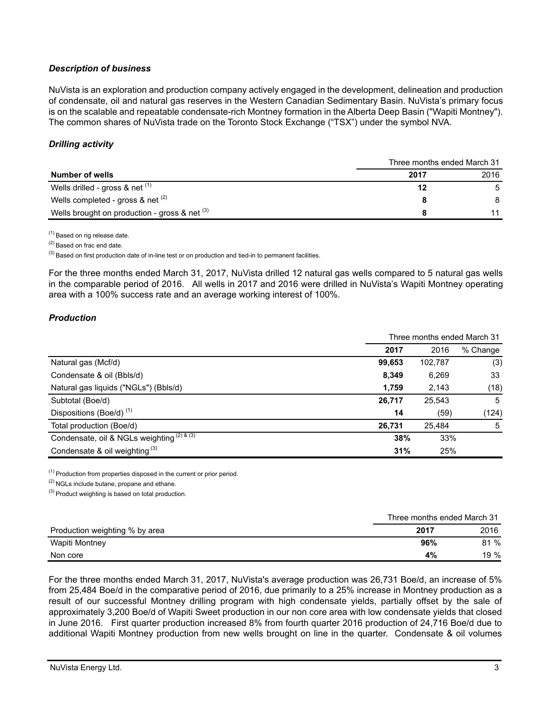# *Description of business*

NuVista is an exploration and production company actively engaged in the development, delineation and production of condensate, oil and natural gas reserves in the Western Canadian Sedimentary Basin. NuVista's primary focus is on the scalable and repeatable condensate-rich Montney formation in the Alberta Deep Basin ("Wapiti Montney"). The common shares of NuVista trade on the Toronto Stock Exchange ("TSX") under the symbol NVA.

# *Drilling activity*

|                                                 |      | Three months ended March 31 |
|-------------------------------------------------|------|-----------------------------|
| Number of wells                                 | 2017 | 2016                        |
| Wells drilled - gross & net $(1)$               |      | -5                          |
| Wells completed - gross & net $(2)$             |      | 8                           |
| Wells brought on production - gross & net $(3)$ |      | 11                          |

(1) Based on rig release date.

(2) Based on frac end date.

 $^{(3)}$  Based on first production date of in-line test or on production and tied-in to permanent facilities.

For the three months ended March 31, 2017, NuVista drilled 12 natural gas wells compared to 5 natural gas wells in the comparable period of 2016. All wells in 2017 and 2016 were drilled in NuVista's Wapiti Montney operating area with a 100% success rate and an average working interest of 100%.

# *Production*

|                                            | Three months ended March 31 |         |          |
|--------------------------------------------|-----------------------------|---------|----------|
|                                            | 2017                        | 2016    | % Change |
| Natural gas (Mcf/d)                        | 99,653                      | 102,787 | (3)      |
| Condensate & oil (Bbls/d)                  | 8,349                       | 6,269   | 33       |
| Natural gas liquids ("NGLs") (Bbls/d)      | 1,759                       | 2,143   | (18)     |
| Subtotal (Boe/d)                           | 26,717                      | 25,543  | 5        |
| Dispositions (Boe/d) <sup>(1)</sup>        | 14                          | (59)    | (124)    |
| Total production (Boe/d)                   | 26.731                      | 25,484  | 5        |
| Condensate, oil & NGLs weighting (2) & (3) | 38%                         | 33%     |          |
| Condensate & oil weighting $(3)$           | 31%                         | 25%     |          |

(1) Production from properties disposed in the current or prior period.

(2) NGLs include butane, propane and ethane.

 $(3)$  Product weighting is based on total production.

|                                | Three months ended March 31 |      |
|--------------------------------|-----------------------------|------|
| Production weighting % by area | 2017                        | 2016 |
| Wapiti Montney                 | 96%                         | 81 % |
| Non core                       | 4%                          | 19%  |

For the three months ended March 31, 2017, NuVista's average production was 26,731 Boe/d, an increase of 5% from 25,484 Boe/d in the comparative period of 2016, due primarily to a 25% increase in Montney production as a result of our successful Montney drilling program with high condensate yields, partially offset by the sale of approximately 3,200 Boe/d of Wapiti Sweet production in our non core area with low condensate yields that closed in June 2016. First quarter production increased 8% from fourth quarter 2016 production of 24,716 Boe/d due to additional Wapiti Montney production from new wells brought on line in the quarter. Condensate & oil volumes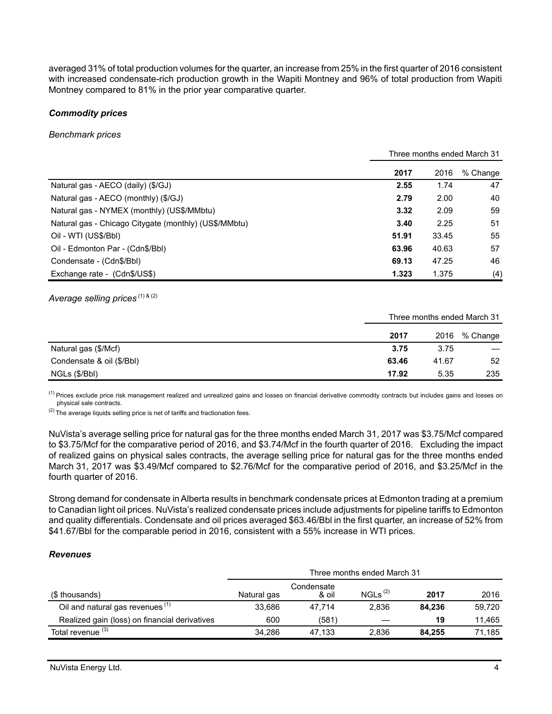averaged 31% of total production volumes for the quarter, an increase from 25% in the first quarter of 2016 consistent with increased condensate-rich production growth in the Wapiti Montney and 96% of total production from Wapiti Montney compared to 81% in the prior year comparative quarter.

### *Commodity prices*

*Benchmark prices*

|                                                       | Three months ended March 31 |       |          |
|-------------------------------------------------------|-----------------------------|-------|----------|
|                                                       | 2017                        | 2016  | % Change |
| Natural gas - AECO (daily) (\$/GJ)                    | 2.55                        | 1.74  | 47       |
| Natural gas - AECO (monthly) (\$/GJ)                  | 2.79                        | 2.00  | 40       |
| Natural gas - NYMEX (monthly) (US\$/MMbtu)            | 3.32                        | 2.09  | 59       |
| Natural gas - Chicago Citygate (monthly) (US\$/MMbtu) | 3.40                        | 2.25  | 51       |
| Oil - WTI (US\$/Bbl)                                  | 51.91                       | 33.45 | 55       |
| Oil - Edmonton Par - (Cdn\$/Bbl)                      | 63.96                       | 40.63 | 57       |
| Condensate - (Cdn\$/Bbl)                              | 69.13                       | 47.25 | 46       |
| Exchange rate - (Cdn\$/US\$)                          | 1.323                       | 1.375 | (4)      |

Average selling prices<sup>(1) & (2)</sup>

Three months ended March 31

|                           | 2017  | 2016  | % Change                 |
|---------------------------|-------|-------|--------------------------|
| Natural gas (\$/Mcf)      | 3.75  | 3.75  | $\overline{\phantom{a}}$ |
| Condensate & oil (\$/Bbl) | 63.46 | 41.67 | 52                       |
| NGLs (\$/Bbl)             | 17.92 | 5.35  | 235                      |

<sup>(1)</sup> Prices exclude price risk management realized and unrealized gains and losses on financial derivative commodity contracts but includes gains and losses on physical sale contracts.

 $(2)$  The average liquids selling price is net of tariffs and fractionation fees.

NuVista's average selling price for natural gas for the three months ended March 31, 2017 was \$3.75/Mcf compared to \$3.75/Mcf for the comparative period of 2016, and \$3.74/Mcf in the fourth quarter of 2016. Excluding the impact of realized gains on physical sales contracts, the average selling price for natural gas for the three months ended March 31, 2017 was \$3.49/Mcf compared to \$2.76/Mcf for the comparative period of 2016, and \$3.25/Mcf in the fourth quarter of 2016.

Strong demand for condensate in Alberta results in benchmark condensate prices at Edmonton trading at a premium to Canadian light oil prices. NuVista's realized condensate prices include adjustments for pipeline tariffs to Edmonton and quality differentials. Condensate and oil prices averaged \$63.46/Bbl in the first quarter, an increase of 52% from \$41.67/Bbl for the comparable period in 2016, consistent with a 55% increase in WTI prices.

## *Revenues*

|                                               | Three months ended March 31 |                     |              |        |        |
|-----------------------------------------------|-----------------------------|---------------------|--------------|--------|--------|
| (\$ thousands)                                | Natural gas                 | Condensate<br>& oil | $NGLS^{(2)}$ | 2017   | 2016   |
| Oil and natural gas revenues <sup>(1)</sup>   | 33.686                      | 47.714              | 2,836        | 84.236 | 59.720 |
| Realized gain (loss) on financial derivatives | 600                         | (581)               |              | 19     | 11,465 |
| Total revenue <sup>(3)</sup>                  | 34.286                      | 47.133              | 2.836        | 84.255 | 71.185 |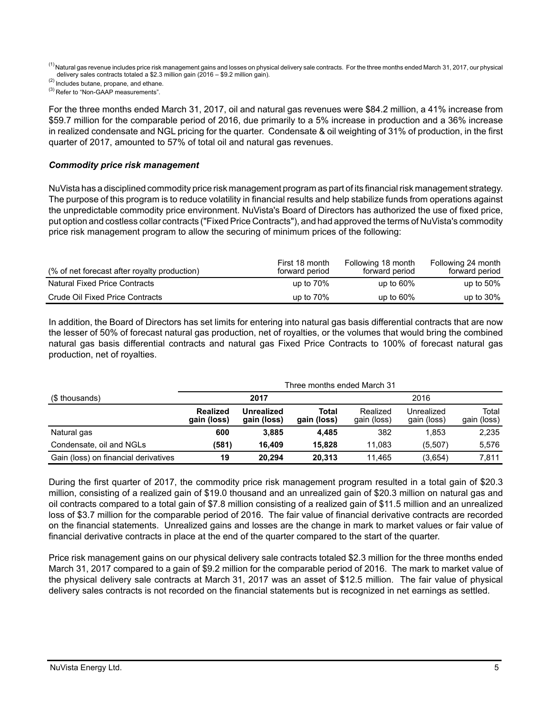<sup>(1)</sup> Natural gas revenue includes price risk management gains and losses on physical delivery sale contracts. For the three months ended March 31, 2017, our physical delivery sales contracts totaled a \$2.3 million gain (2016 – \$9.2 million gain).

(2) Includes butane, propane, and ethane.

<sup>(3)</sup> Refer to "Non-GAAP measurements".

For the three months ended March 31, 2017, oil and natural gas revenues were \$84.2 million, a 41% increase from \$59.7 million for the comparable period of 2016, due primarily to a 5% increase in production and a 36% increase in realized condensate and NGL pricing for the quarter. Condensate & oil weighting of 31% of production, in the first quarter of 2017, amounted to 57% of total oil and natural gas revenues.

### *Commodity price risk management*

NuVista has a disciplined commodity price risk management program as part of its financial risk management strategy. The purpose of this program is to reduce volatility in financial results and help stabilize funds from operations against the unpredictable commodity price environment. NuVista's Board of Directors has authorized the use of fixed price, put option and costless collar contracts ("Fixed Price Contracts"), and had approved the terms of NuVista's commodity price risk management program to allow the securing of minimum prices of the following:

| (% of net forecast after royalty production) | First 18 month<br>forward period | Following 18 month<br>forward period | Following 24 month<br>forward period |
|----------------------------------------------|----------------------------------|--------------------------------------|--------------------------------------|
| <b>Natural Fixed Price Contracts</b>         | up to $70\%$                     | up to $60\%$                         | up to $50\%$                         |
| Crude Oil Fixed Price Contracts              | up to $70\%$                     | up to $60\%$                         | up to $30\%$                         |

In addition, the Board of Directors has set limits for entering into natural gas basis differential contracts that are now the lesser of 50% of forecast natural gas production, net of royalties, or the volumes that would bring the combined natural gas basis differential contracts and natural gas Fixed Price Contracts to 100% of forecast natural gas production, net of royalties.

| (\$ thousands)                       | Three months ended March 31    |                           |                      |                         |                           |                      |
|--------------------------------------|--------------------------------|---------------------------|----------------------|-------------------------|---------------------------|----------------------|
|                                      | 2017                           |                           |                      | 2016                    |                           |                      |
|                                      | <b>Realized</b><br>gain (loss) | Unrealized<br>gain (loss) | Total<br>gain (loss) | Realized<br>gain (loss) | Unrealized<br>gain (loss) | Total<br>gain (loss) |
| Natural gas                          | 600                            | 3.885                     | 4.485                | 382                     | 1.853                     | 2,235                |
| Condensate, oil and NGLs             | (581)                          | 16.409                    | 15.828               | 11.083                  | (5,507)                   | 5,576                |
| Gain (loss) on financial derivatives | 19                             | 20.294                    | 20.313               | 11.465                  | (3.654)                   | 7.811                |

During the first quarter of 2017, the commodity price risk management program resulted in a total gain of \$20.3 million, consisting of a realized gain of \$19.0 thousand and an unrealized gain of \$20.3 million on natural gas and oil contracts compared to a total gain of \$7.8 million consisting of a realized gain of \$11.5 million and an unrealized loss of \$3.7 million for the comparable period of 2016. The fair value of financial derivative contracts are recorded on the financial statements. Unrealized gains and losses are the change in mark to market values or fair value of financial derivative contracts in place at the end of the quarter compared to the start of the quarter.

Price risk management gains on our physical delivery sale contracts totaled \$2.3 million for the three months ended March 31, 2017 compared to a gain of \$9.2 million for the comparable period of 2016. The mark to market value of the physical delivery sale contracts at March 31, 2017 was an asset of \$12.5 million. The fair value of physical delivery sales contracts is not recorded on the financial statements but is recognized in net earnings as settled.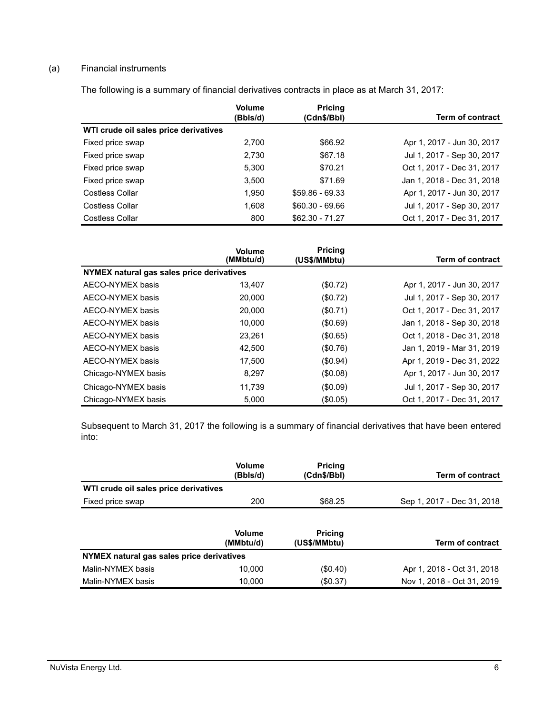# (a) Financial instruments

The following is a summary of financial derivatives contracts in place as at March 31, 2017:

|                                       | <b>Volume</b><br>(Bbls/d) | <b>Pricing</b><br>(Cdn\$/Bbl) | <b>Term of contract</b>    |
|---------------------------------------|---------------------------|-------------------------------|----------------------------|
| WTI crude oil sales price derivatives |                           |                               |                            |
| Fixed price swap                      | 2.700                     | \$66.92                       | Apr 1, 2017 - Jun 30, 2017 |
| Fixed price swap                      | 2.730                     | \$67.18                       | Jul 1, 2017 - Sep 30, 2017 |
| Fixed price swap                      | 5,300                     | \$70.21                       | Oct 1, 2017 - Dec 31, 2017 |
| Fixed price swap                      | 3.500                     | \$71.69                       | Jan 1, 2018 - Dec 31, 2018 |
| Costless Collar                       | 1.950                     | $$59.86 - 69.33$              | Apr 1, 2017 - Jun 30, 2017 |
| Costless Collar                       | 1.608                     | $$60.30 - 69.66$              | Jul 1, 2017 - Sep 30, 2017 |
| Costless Collar                       | 800                       | $$62.30 - 71.27$              | Oct 1, 2017 - Dec 31, 2017 |

|                                           | <b>Volume</b><br>(MMbtu/d) | <b>Pricing</b><br>(US\$/MMbtu) | <b>Term of contract</b>    |
|-------------------------------------------|----------------------------|--------------------------------|----------------------------|
| NYMEX natural gas sales price derivatives |                            |                                |                            |
| AECO-NYMEX basis                          | 13.407                     | (\$0.72)                       | Apr 1, 2017 - Jun 30, 2017 |
| AECO-NYMEX basis                          | 20,000                     | (\$0.72)                       | Jul 1, 2017 - Sep 30, 2017 |
| AECO-NYMEX basis                          | 20,000                     | (\$0.71)                       | Oct 1, 2017 - Dec 31, 2017 |
| AECO-NYMEX basis                          | 10.000                     | (\$0.69)                       | Jan 1, 2018 - Sep 30, 2018 |
| AECO-NYMEX basis                          | 23,261                     | (\$0.65)                       | Oct 1, 2018 - Dec 31, 2018 |
| AECO-NYMEX basis                          | 42,500                     | (\$0.76)                       | Jan 1, 2019 - Mar 31, 2019 |
| AECO-NYMEX basis                          | 17,500                     | (\$0.94)                       | Apr 1, 2019 - Dec 31, 2022 |
| Chicago-NYMEX basis                       | 8.297                      | $($ \$0.08)                    | Apr 1, 2017 - Jun 30, 2017 |
| Chicago-NYMEX basis                       | 11.739                     | (\$0.09)                       | Jul 1, 2017 - Sep 30, 2017 |
| Chicago-NYMEX basis                       | 5,000                      | (\$0.05)                       | Oct 1, 2017 - Dec 31, 2017 |

Subsequent to March 31, 2017 the following is a summary of financial derivatives that have been entered into:

|                                           | Volume<br>(Bbls/d)         | <b>Pricing</b><br>(Cdn\$/Bbl)  | <b>Term of contract</b>    |
|-------------------------------------------|----------------------------|--------------------------------|----------------------------|
| WTI crude oil sales price derivatives     |                            |                                |                            |
| Fixed price swap                          | 200                        | \$68.25                        | Sep 1, 2017 - Dec 31, 2018 |
|                                           | <b>Volume</b><br>(MMbtu/d) | <b>Pricing</b><br>(US\$/MMbtu) | Term of contract           |
| NYMEX natural gas sales price derivatives |                            |                                |                            |
| Malin-NYMEX basis                         | 10,000                     | $(\$0.40)$                     | Apr 1, 2018 - Oct 31, 2018 |
|                                           |                            |                                |                            |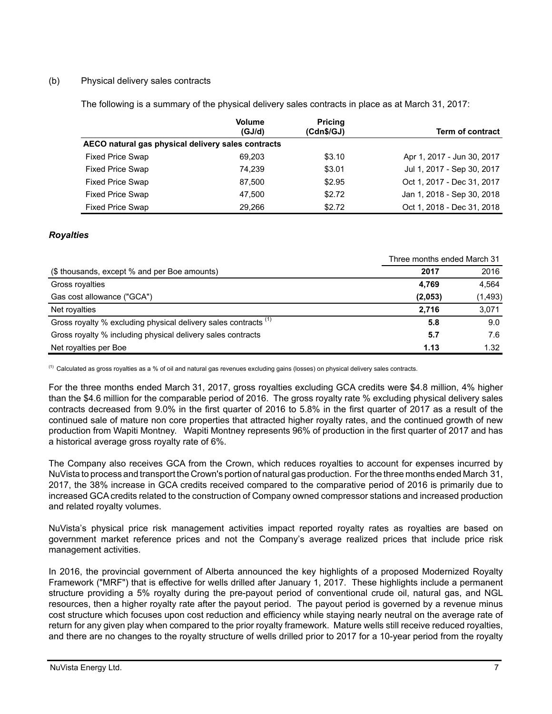## (b) Physical delivery sales contracts

The following is a summary of the physical delivery sales contracts in place as at March 31, 2017:

|                                                    | <b>Volume</b> | <b>Pricing</b> |                            |
|----------------------------------------------------|---------------|----------------|----------------------------|
|                                                    | (GJ/d)        | (Cdn\$/GJ)     | <b>Term of contract</b>    |
| AECO natural gas physical delivery sales contracts |               |                |                            |
| <b>Fixed Price Swap</b>                            | 69,203        | \$3.10         | Apr 1, 2017 - Jun 30, 2017 |
| <b>Fixed Price Swap</b>                            | 74.239        | \$3.01         | Jul 1, 2017 - Sep 30, 2017 |
| <b>Fixed Price Swap</b>                            | 87,500        | \$2.95         | Oct 1, 2017 - Dec 31, 2017 |
| <b>Fixed Price Swap</b>                            | 47.500        | \$2.72         | Jan 1, 2018 - Sep 30, 2018 |
| <b>Fixed Price Swap</b>                            | 29.266        | \$2.72         | Oct 1, 2018 - Dec 31, 2018 |

## *Royalties*

|                                                                            | Three months ended March 31 |          |
|----------------------------------------------------------------------------|-----------------------------|----------|
| (\$ thousands, except % and per Boe amounts)                               | 2017                        | 2016     |
| Gross royalties                                                            | 4,769                       | 4,564    |
| Gas cost allowance ("GCA")                                                 | (2,053)                     | (1, 493) |
| Net royalties                                                              | 2.716                       | 3,071    |
| Gross royalty % excluding physical delivery sales contracts <sup>(1)</sup> | 5.8                         | 9.0      |
| Gross royalty % including physical delivery sales contracts                | 5.7                         | 7.6      |
| Net royalties per Boe                                                      | 1.13                        | 1.32     |

 $<sup>(1)</sup>$  Calculated as gross royalties as a % of oil and natural gas revenues excluding gains (losses) on physical delivery sales contracts.</sup>

For the three months ended March 31, 2017, gross royalties excluding GCA credits were \$4.8 million, 4% higher than the \$4.6 million for the comparable period of 2016. The gross royalty rate % excluding physical delivery sales contracts decreased from 9.0% in the first quarter of 2016 to 5.8% in the first quarter of 2017 as a result of the continued sale of mature non core properties that attracted higher royalty rates, and the continued growth of new production from Wapiti Montney. Wapiti Montney represents 96% of production in the first quarter of 2017 and has a historical average gross royalty rate of 6%.

The Company also receives GCA from the Crown, which reduces royalties to account for expenses incurred by NuVista to process and transport the Crown's portion of natural gas production. For the three months ended March 31, 2017, the 38% increase in GCA credits received compared to the comparative period of 2016 is primarily due to increased GCA credits related to the construction of Company owned compressor stations and increased production and related royalty volumes.

NuVista's physical price risk management activities impact reported royalty rates as royalties are based on government market reference prices and not the Company's average realized prices that include price risk management activities.

In 2016, the provincial government of Alberta announced the key highlights of a proposed Modernized Royalty Framework ("MRF") that is effective for wells drilled after January 1, 2017. These highlights include a permanent structure providing a 5% royalty during the pre-payout period of conventional crude oil, natural gas, and NGL resources, then a higher royalty rate after the payout period. The payout period is governed by a revenue minus cost structure which focuses upon cost reduction and efficiency while staying nearly neutral on the average rate of return for any given play when compared to the prior royalty framework. Mature wells still receive reduced royalties, and there are no changes to the royalty structure of wells drilled prior to 2017 for a 10-year period from the royalty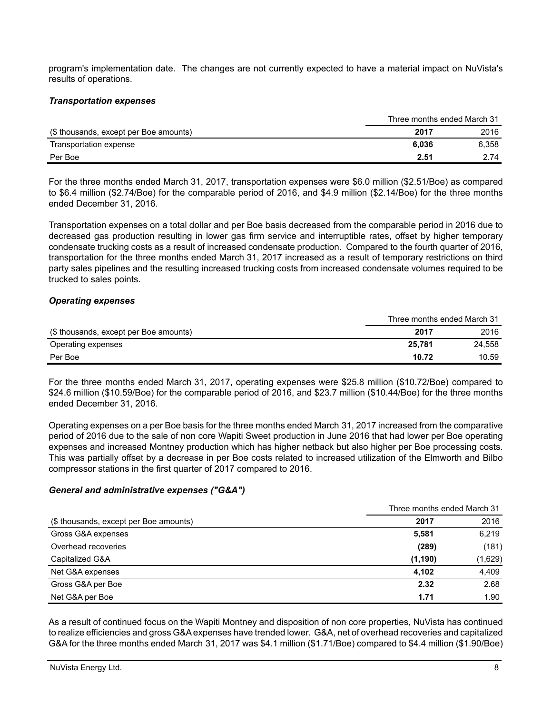program's implementation date. The changes are not currently expected to have a material impact on NuVista's results of operations.

#### *Transportation expenses*

|                                        | Three months ended March 31 |       |
|----------------------------------------|-----------------------------|-------|
| (\$ thousands, except per Boe amounts) | 2017                        | 2016  |
| Transportation expense                 | 6.036                       | 6,358 |
| Per Boe                                | 2.51                        | 2.74  |

For the three months ended March 31, 2017, transportation expenses were \$6.0 million (\$2.51/Boe) as compared to \$6.4 million (\$2.74/Boe) for the comparable period of 2016, and \$4.9 million (\$2.14/Boe) for the three months ended December 31, 2016.

Transportation expenses on a total dollar and per Boe basis decreased from the comparable period in 2016 due to decreased gas production resulting in lower gas firm service and interruptible rates, offset by higher temporary condensate trucking costs as a result of increased condensate production. Compared to the fourth quarter of 2016, transportation for the three months ended March 31, 2017 increased as a result of temporary restrictions on third party sales pipelines and the resulting increased trucking costs from increased condensate volumes required to be trucked to sales points.

#### *Operating expenses*

|                                        | Three months ended March 31 |        |
|----------------------------------------|-----------------------------|--------|
| (\$ thousands, except per Boe amounts) | 2017                        | 2016   |
| Operating expenses                     | 25.781                      | 24.558 |
| Per Boe                                | 10.72                       | 10.59  |

For the three months ended March 31, 2017, operating expenses were \$25.8 million (\$10.72/Boe) compared to \$24.6 million (\$10.59/Boe) for the comparable period of 2016, and \$23.7 million (\$10.44/Boe) for the three months ended December 31, 2016.

Operating expenses on a per Boe basis for the three months ended March 31, 2017 increased from the comparative period of 2016 due to the sale of non core Wapiti Sweet production in June 2016 that had lower per Boe operating expenses and increased Montney production which has higher netback but also higher per Boe processing costs. This was partially offset by a decrease in per Boe costs related to increased utilization of the Elmworth and Bilbo compressor stations in the first quarter of 2017 compared to 2016.

## *General and administrative expenses ("G&A")*

|                                        |          | Three months ended March 31 |  |
|----------------------------------------|----------|-----------------------------|--|
| (\$ thousands, except per Boe amounts) | 2017     | 2016                        |  |
| Gross G&A expenses                     | 5,581    | 6,219                       |  |
| Overhead recoveries                    | (289)    | (181)                       |  |
| Capitalized G&A                        | (1, 190) | (1,629)                     |  |
| Net G&A expenses                       | 4,102    | 4,409                       |  |
| Gross G&A per Boe                      | 2.32     | 2.68                        |  |
| Net G&A per Boe                        | 1.71     | 1.90                        |  |

As a result of continued focus on the Wapiti Montney and disposition of non core properties, NuVista has continued to realize efficiencies and gross G&A expenses have trended lower. G&A, net of overhead recoveries and capitalized G&A for the three months ended March 31, 2017 was \$4.1 million (\$1.71/Boe) compared to \$4.4 million (\$1.90/Boe)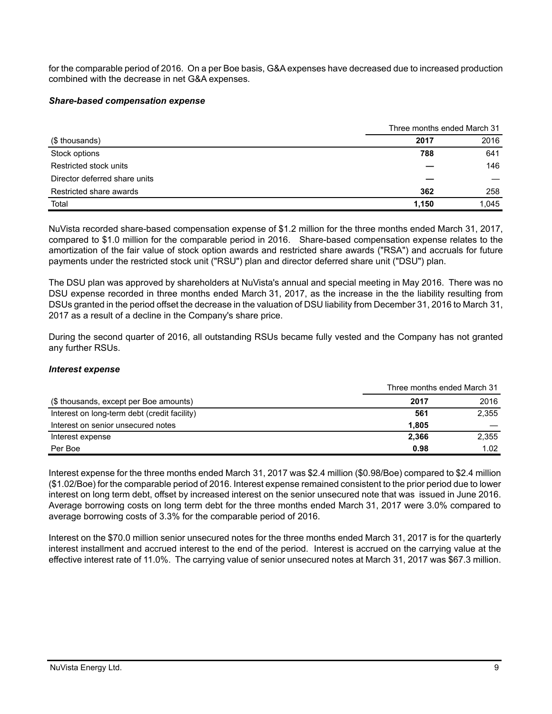for the comparable period of 2016. On a per Boe basis, G&A expenses have decreased due to increased production combined with the decrease in net G&A expenses.

### *Share-based compensation expense*

|                               | Three months ended March 31 |       |
|-------------------------------|-----------------------------|-------|
| (\$ thousands)                | 2017                        | 2016  |
| Stock options                 | 788                         | 641   |
| Restricted stock units        |                             | 146   |
| Director deferred share units |                             |       |
| Restricted share awards       | 362                         | 258   |
| Total                         | 1.150                       | 1.045 |

NuVista recorded share-based compensation expense of \$1.2 million for the three months ended March 31, 2017, compared to \$1.0 million for the comparable period in 2016. Share-based compensation expense relates to the amortization of the fair value of stock option awards and restricted share awards ("RSA") and accruals for future payments under the restricted stock unit ("RSU") plan and director deferred share unit ("DSU") plan.

The DSU plan was approved by shareholders at NuVista's annual and special meeting in May 2016. There was no DSU expense recorded in three months ended March 31, 2017, as the increase in the the liability resulting from DSUs granted in the period offset the decrease in the valuation of DSU liability from December 31, 2016 to March 31, 2017 as a result of a decline in the Company's share price.

During the second quarter of 2016, all outstanding RSUs became fully vested and the Company has not granted any further RSUs.

## *Interest expense*

|                                              | Three months ended March 31 |       |
|----------------------------------------------|-----------------------------|-------|
| (\$ thousands, except per Boe amounts)       | 2017                        | 2016  |
| Interest on long-term debt (credit facility) | 561                         | 2,355 |
| Interest on senior unsecured notes           | 1.805                       |       |
| Interest expense                             | 2.366                       | 2,355 |
| Per Boe                                      | 0.98                        | 1.02  |

Interest expense for the three months ended March 31, 2017 was \$2.4 million (\$0.98/Boe) compared to \$2.4 million (\$1.02/Boe) for the comparable period of 2016. Interest expense remained consistent to the prior period due to lower interest on long term debt, offset by increased interest on the senior unsecured note that was issued in June 2016. Average borrowing costs on long term debt for the three months ended March 31, 2017 were 3.0% compared to average borrowing costs of 3.3% for the comparable period of 2016.

Interest on the \$70.0 million senior unsecured notes for the three months ended March 31, 2017 is for the quarterly interest installment and accrued interest to the end of the period. Interest is accrued on the carrying value at the effective interest rate of 11.0%. The carrying value of senior unsecured notes at March 31, 2017 was \$67.3 million.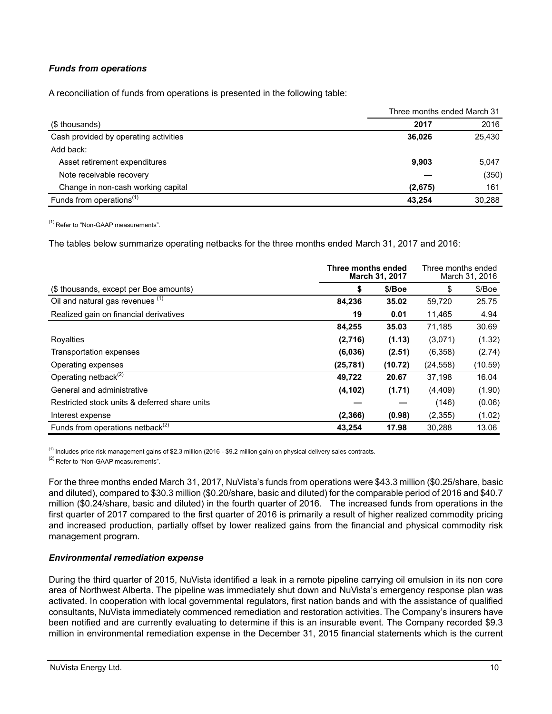# *Funds from operations*

A reconciliation of funds from operations is presented in the following table:

|                                       | Three months ended March 31 |        |
|---------------------------------------|-----------------------------|--------|
| (\$ thousands)                        | 2017                        | 2016   |
| Cash provided by operating activities | 36.026                      | 25,430 |
| Add back:                             |                             |        |
| Asset retirement expenditures         | 9,903                       | 5,047  |
| Note receivable recovery              |                             | (350)  |
| Change in non-cash working capital    | (2,675)                     | 161    |
| Funds from operations <sup>(1)</sup>  | 43.254                      | 30.288 |

(1) Refer to "Non-GAAP measurements".

The tables below summarize operating netbacks for the three months ended March 31, 2017 and 2016:

| Three months ended<br>March 31, 2017          |           | Three months ended<br>March 31, 2016 |           |         |
|-----------------------------------------------|-----------|--------------------------------------|-----------|---------|
| (\$ thousands, except per Boe amounts)        | \$        | \$/Boe                               | \$        | \$/Boe  |
| Oil and natural gas revenues (1)              | 84,236    | 35.02                                | 59,720    | 25.75   |
| Realized gain on financial derivatives        | 19        | 0.01                                 | 11,465    | 4.94    |
|                                               | 84,255    | 35.03                                | 71,185    | 30.69   |
| Royalties                                     | (2,716)   | (1.13)                               | (3,071)   | (1.32)  |
| <b>Transportation expenses</b>                | (6,036)   | (2.51)                               | (6,358)   | (2.74)  |
| Operating expenses                            | (25, 781) | (10.72)                              | (24, 558) | (10.59) |
| Operating netback <sup>(2)</sup>              | 49,722    | 20.67                                | 37,198    | 16.04   |
| General and administrative                    | (4, 102)  | (1.71)                               | (4, 409)  | (1.90)  |
| Restricted stock units & deferred share units |           |                                      | (146)     | (0.06)  |
| Interest expense                              | (2,366)   | (0.98)                               | (2,355)   | (1.02)  |
| Funds from operations netback <sup>(2)</sup>  | 43,254    | 17.98                                | 30,288    | 13.06   |

 $<sup>(1)</sup>$  Includes price risk management gains of \$2.3 million (2016 - \$9.2 million gain) on physical delivery sales contracts.</sup>

<sup>(2)</sup> Refer to "Non-GAAP measurements".

For the three months ended March 31, 2017, NuVista's funds from operations were \$43.3 million (\$0.25/share, basic and diluted), compared to \$30.3 million (\$0.20/share, basic and diluted) for the comparable period of 2016 and \$40.7 million (\$0.24/share, basic and diluted) in the fourth quarter of 2016. The increased funds from operations in the first quarter of 2017 compared to the first quarter of 2016 is primarily a result of higher realized commodity pricing and increased production, partially offset by lower realized gains from the financial and physical commodity risk management program.

#### *Environmental remediation expense*

During the third quarter of 2015, NuVista identified a leak in a remote pipeline carrying oil emulsion in its non core area of Northwest Alberta. The pipeline was immediately shut down and NuVista's emergency response plan was activated. In cooperation with local governmental regulators, first nation bands and with the assistance of qualified consultants, NuVista immediately commenced remediation and restoration activities. The Company's insurers have been notified and are currently evaluating to determine if this is an insurable event. The Company recorded \$9.3 million in environmental remediation expense in the December 31, 2015 financial statements which is the current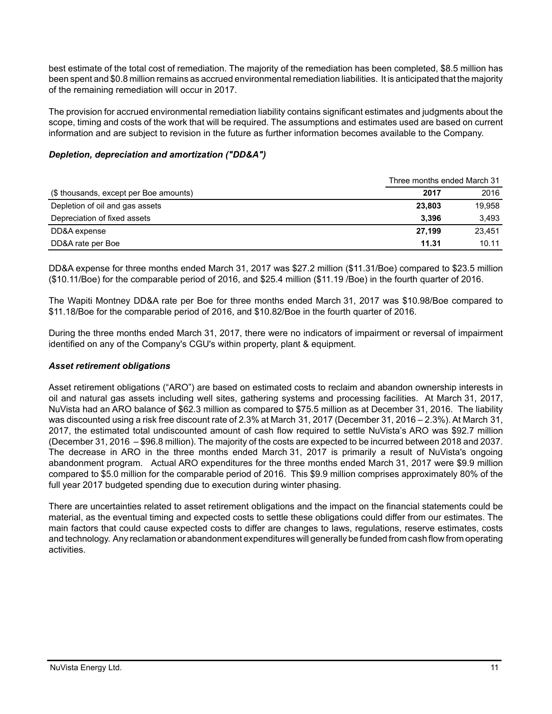best estimate of the total cost of remediation. The majority of the remediation has been completed, \$8.5 million has been spent and \$0.8 million remains as accrued environmental remediation liabilities. It is anticipated that the majority of the remaining remediation will occur in 2017.

The provision for accrued environmental remediation liability contains significant estimates and judgments about the scope, timing and costs of the work that will be required. The assumptions and estimates used are based on current information and are subject to revision in the future as further information becomes available to the Company.

## *Depletion, depreciation and amortization ("DD&A")*

|                                        | Three months ended March 31 |        |
|----------------------------------------|-----------------------------|--------|
| (\$ thousands, except per Boe amounts) | 2017                        | 2016   |
| Depletion of oil and gas assets        | 23,803                      | 19.958 |
| Depreciation of fixed assets           | 3.396                       | 3.493  |
| DD&A expense                           | 27.199                      | 23.451 |
| DD&A rate per Boe                      | 11.31                       | 10.11  |

DD&A expense for three months ended March 31, 2017 was \$27.2 million (\$11.31/Boe) compared to \$23.5 million (\$10.11/Boe) for the comparable period of 2016, and \$25.4 million (\$11.19 /Boe) in the fourth quarter of 2016.

The Wapiti Montney DD&A rate per Boe for three months ended March 31, 2017 was \$10.98/Boe compared to \$11.18/Boe for the comparable period of 2016, and \$10.82/Boe in the fourth quarter of 2016.

During the three months ended March 31, 2017, there were no indicators of impairment or reversal of impairment identified on any of the Company's CGU's within property, plant & equipment.

## *Asset retirement obligations*

Asset retirement obligations ("ARO") are based on estimated costs to reclaim and abandon ownership interests in oil and natural gas assets including well sites, gathering systems and processing facilities. At March 31, 2017, NuVista had an ARO balance of \$62.3 million as compared to \$75.5 million as at December 31, 2016. The liability was discounted using a risk free discount rate of 2.3% at March 31, 2017 (December 31, 2016 – 2.3%). At March 31, 2017, the estimated total undiscounted amount of cash flow required to settle NuVista's ARO was \$92.7 million (December 31, 2016 – \$96.8 million). The majority of the costs are expected to be incurred between 2018 and 2037. The decrease in ARO in the three months ended March 31, 2017 is primarily a result of NuVista's ongoing abandonment program. Actual ARO expenditures for the three months ended March 31, 2017 were \$9.9 million compared to \$5.0 million for the comparable period of 2016. This \$9.9 million comprises approximately 80% of the full year 2017 budgeted spending due to execution during winter phasing.

There are uncertainties related to asset retirement obligations and the impact on the financial statements could be material, as the eventual timing and expected costs to settle these obligations could differ from our estimates. The main factors that could cause expected costs to differ are changes to laws, regulations, reserve estimates, costs and technology. Any reclamation or abandonment expenditures will generally be funded from cash flow from operating activities.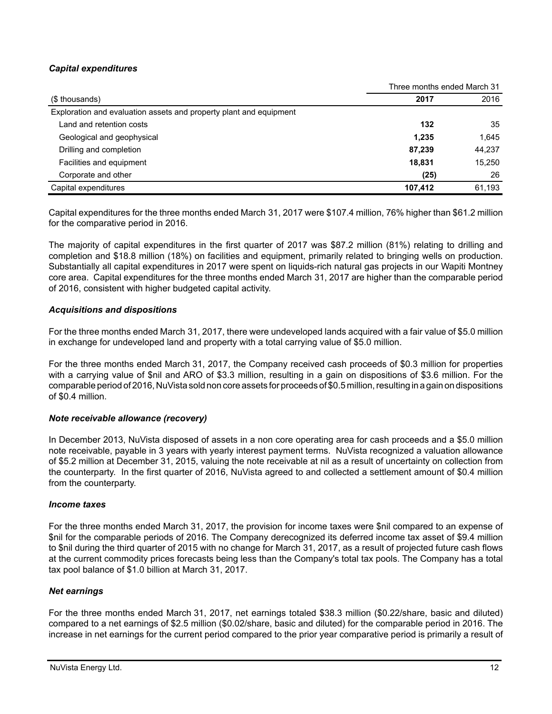# *Capital expenditures*

|                                                                    | Three months ended March 31 |        |
|--------------------------------------------------------------------|-----------------------------|--------|
| (\$ thousands)                                                     | 2017                        | 2016   |
| Exploration and evaluation assets and property plant and equipment |                             |        |
| Land and retention costs                                           | 132                         | 35     |
| Geological and geophysical                                         | 1,235                       | 1,645  |
| Drilling and completion                                            | 87,239                      | 44,237 |
| Facilities and equipment                                           | 18.831                      | 15,250 |
| Corporate and other                                                | (25)                        | 26     |
| Capital expenditures                                               | 107.412                     | 61,193 |

Capital expenditures for the three months ended March 31, 2017 were \$107.4 million, 76% higher than \$61.2 million for the comparative period in 2016.

The majority of capital expenditures in the first quarter of 2017 was \$87.2 million (81%) relating to drilling and completion and \$18.8 million (18%) on facilities and equipment, primarily related to bringing wells on production. Substantially all capital expenditures in 2017 were spent on liquids-rich natural gas projects in our Wapiti Montney core area. Capital expenditures for the three months ended March 31, 2017 are higher than the comparable period of 2016, consistent with higher budgeted capital activity.

## *Acquisitions and dispositions*

For the three months ended March 31, 2017, there were undeveloped lands acquired with a fair value of \$5.0 million in exchange for undeveloped land and property with a total carrying value of \$5.0 million.

For the three months ended March 31, 2017, the Company received cash proceeds of \$0.3 million for properties with a carrying value of \$nil and ARO of \$3.3 million, resulting in a gain on dispositions of \$3.6 million. For the comparable period of 2016, NuVista sold non core assets for proceeds of \$0.5 million, resulting in a gain on dispositions of \$0.4 million.

## *Note receivable allowance (recovery)*

In December 2013, NuVista disposed of assets in a non core operating area for cash proceeds and a \$5.0 million note receivable, payable in 3 years with yearly interest payment terms. NuVista recognized a valuation allowance of \$5.2 million at December 31, 2015, valuing the note receivable at nil as a result of uncertainty on collection from the counterparty. In the first quarter of 2016, NuVista agreed to and collected a settlement amount of \$0.4 million from the counterparty.

## *Income taxes*

For the three months ended March 31, 2017, the provision for income taxes were \$nil compared to an expense of \$nil for the comparable periods of 2016. The Company derecognized its deferred income tax asset of \$9.4 million to \$nil during the third quarter of 2015 with no change for March 31, 2017, as a result of projected future cash flows at the current commodity prices forecasts being less than the Company's total tax pools. The Company has a total tax pool balance of \$1.0 billion at March 31, 2017.

## *Net earnings*

For the three months ended March 31, 2017, net earnings totaled \$38.3 million (\$0.22/share, basic and diluted) compared to a net earnings of \$2.5 million (\$0.02/share, basic and diluted) for the comparable period in 2016. The increase in net earnings for the current period compared to the prior year comparative period is primarily a result of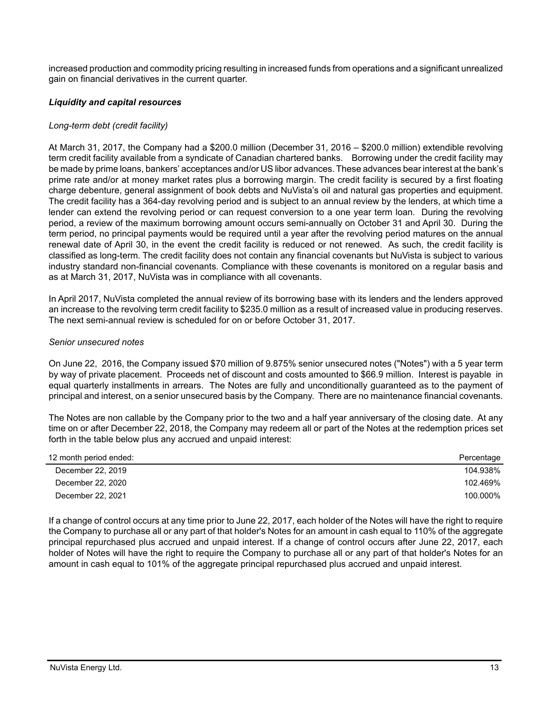increased production and commodity pricing resulting in increased funds from operations and a significant unrealized gain on financial derivatives in the current quarter.

# *Liquidity and capital resources*

## *Long-term debt (credit facility)*

At March 31, 2017, the Company had a \$200.0 million (December 31, 2016 – \$200.0 million) extendible revolving term credit facility available from a syndicate of Canadian chartered banks. Borrowing under the credit facility may be made by prime loans, bankers' acceptances and/or US libor advances. These advances bear interest at the bank's prime rate and/or at money market rates plus a borrowing margin. The credit facility is secured by a first floating charge debenture, general assignment of book debts and NuVista's oil and natural gas properties and equipment. The credit facility has a 364-day revolving period and is subject to an annual review by the lenders, at which time a lender can extend the revolving period or can request conversion to a one year term loan. During the revolving period, a review of the maximum borrowing amount occurs semi-annually on October 31 and April 30. During the term period, no principal payments would be required until a year after the revolving period matures on the annual renewal date of April 30, in the event the credit facility is reduced or not renewed. As such, the credit facility is classified as long-term. The credit facility does not contain any financial covenants but NuVista is subject to various industry standard non-financial covenants. Compliance with these covenants is monitored on a regular basis and as at March 31, 2017, NuVista was in compliance with all covenants.

In April 2017, NuVista completed the annual review of its borrowing base with its lenders and the lenders approved an increase to the revolving term credit facility to \$235.0 million as a result of increased value in producing reserves. The next semi-annual review is scheduled for on or before October 31, 2017.

## *Senior unsecured notes*

On June 22, 2016, the Company issued \$70 million of 9.875% senior unsecured notes ("Notes") with a 5 year term by way of private placement. Proceeds net of discount and costs amounted to \$66.9 million. Interest is payable in equal quarterly installments in arrears. The Notes are fully and unconditionally guaranteed as to the payment of principal and interest, on a senior unsecured basis by the Company. There are no maintenance financial covenants.

The Notes are non callable by the Company prior to the two and a half year anniversary of the closing date. At any time on or after December 22, 2018, the Company may redeem all or part of the Notes at the redemption prices set forth in the table below plus any accrued and unpaid interest:

| 12 month period ended: | Percentage |
|------------------------|------------|
| December 22, 2019      | 104.938%   |
| December 22, 2020      | 102.469%   |
| December 22, 2021      | 100.000%   |

If a change of control occurs at any time prior to June 22, 2017, each holder of the Notes will have the right to require the Company to purchase all or any part of that holder's Notes for an amount in cash equal to 110% of the aggregate principal repurchased plus accrued and unpaid interest. If a change of control occurs after June 22, 2017, each holder of Notes will have the right to require the Company to purchase all or any part of that holder's Notes for an amount in cash equal to 101% of the aggregate principal repurchased plus accrued and unpaid interest.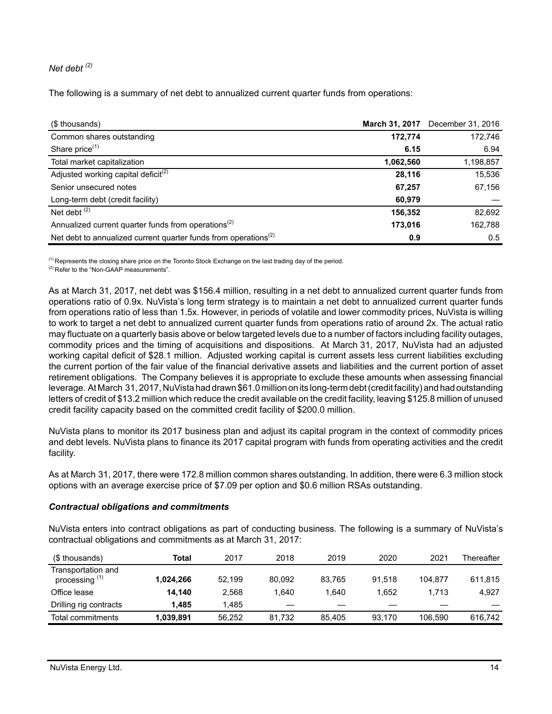# *Net debt (2)*

The following is a summary of net debt to annualized current quarter funds from operations:

| (\$ thousands)                                                              | March 31, 2017 | December 31, 2016 |
|-----------------------------------------------------------------------------|----------------|-------------------|
| Common shares outstanding                                                   | 172,774        | 172,746           |
| Share price <sup>(1)</sup>                                                  | 6.15           | 6.94              |
| Total market capitalization                                                 | 1,062,560      | 1,198,857         |
| Adjusted working capital deficit <sup>(2)</sup>                             | 28,116         | 15,536            |
| Senior unsecured notes                                                      | 67,257         | 67,156            |
| Long-term debt (credit facility)                                            | 60,979         |                   |
| Net debt $(2)$                                                              | 156,352        | 82,692            |
| Annualized current quarter funds from operations <sup>(2)</sup>             | 173,016        | 162,788           |
| Net debt to annualized current quarter funds from operations <sup>(2)</sup> | 0.9            | 0.5               |

<sup>(1)</sup> Represents the closing share price on the Toronto Stock Exchange on the last trading day of the period.

<sup>(2)</sup> Refer to the "Non-GAAP measurements".

As at March 31, 2017, net debt was \$156.4 million, resulting in a net debt to annualized current quarter funds from operations ratio of 0.9x. NuVista's long term strategy is to maintain a net debt to annualized current quarter funds from operations ratio of less than 1.5x. However, in periods of volatile and lower commodity prices, NuVista is willing to work to target a net debt to annualized current quarter funds from operations ratio of around 2x. The actual ratio may fluctuate on a quarterly basis above or below targeted levels due to a number of factors including facility outages, commodity prices and the timing of acquisitions and dispositions. At March 31, 2017, NuVista had an adjusted working capital deficit of \$28.1 million. Adjusted working capital is current assets less current liabilities excluding the current portion of the fair value of the financial derivative assets and liabilities and the current portion of asset retirement obligations. The Company believes it is appropriate to exclude these amounts when assessing financial leverage. At March 31, 2017, NuVista had drawn \$61.0 million on its long-term debt (credit facility) and had outstanding letters of credit of \$13.2 million which reduce the credit available on the credit facility, leaving \$125.8 million of unused credit facility capacity based on the committed credit facility of \$200.0 million.

NuVista plans to monitor its 2017 business plan and adjust its capital program in the context of commodity prices and debt levels. NuVista plans to finance its 2017 capital program with funds from operating activities and the credit facility.

As at March 31, 2017, there were 172.8 million common shares outstanding. In addition, there were 6.3 million stock options with an average exercise price of \$7.09 per option and \$0.6 million RSAs outstanding.

## *Contractual obligations and commitments*

NuVista enters into contract obligations as part of conducting business. The following is a summary of NuVista's contractual obligations and commitments as at March 31, 2017:

| (\$ thousands)                                  | Total     | 2017   | 2018   | 2019   | 2020   | 2021    | Thereafter |
|-------------------------------------------------|-----------|--------|--------|--------|--------|---------|------------|
| Transportation and<br>processing <sup>(1)</sup> | 1,024,266 | 52.199 | 80.092 | 83.765 | 91.518 | 104.877 | 611,815    |
| Office lease                                    | 14.140    | 2,568  | 1.640  | 1.640  | 1.652  | 1.713   | 4,927      |
| Drilling rig contracts                          | 1.485     | 1.485  | __     | __     | _      |         |            |
| Total commitments                               | 1,039,891 | 56.252 | 81.732 | 85.405 | 93.170 | 106.590 | 616,742    |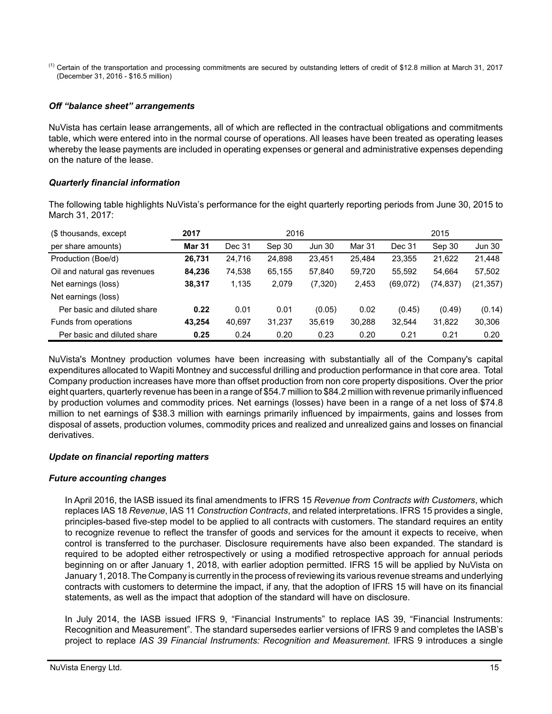<sup>(1)</sup> Certain of the transportation and processing commitments are secured by outstanding letters of credit of \$12.8 million at March 31, 2017 (December 31, 2016 - \$16.5 million)

# *Off "balance sheet" arrangements*

NuVista has certain lease arrangements, all of which are reflected in the contractual obligations and commitments table, which were entered into in the normal course of operations. All leases have been treated as operating leases whereby the lease payments are included in operating expenses or general and administrative expenses depending on the nature of the lease.

## *Quarterly financial information*

The following table highlights NuVista's performance for the eight quarterly reporting periods from June 30, 2015 to March 31, 2017:

| (\$ thousands, except)       | 2017          |        | 2016   | 2015          |        |          |           |               |
|------------------------------|---------------|--------|--------|---------------|--------|----------|-----------|---------------|
| per share amounts)           | <b>Mar 31</b> | Dec 31 | Sep 30 | <b>Jun 30</b> | Mar 31 | Dec 31   | Sep 30    | <b>Jun 30</b> |
| Production (Boe/d)           | 26,731        | 24,716 | 24,898 | 23.451        | 25.484 | 23,355   | 21,622    | 21,448        |
| Oil and natural gas revenues | 84,236        | 74,538 | 65,155 | 57,840        | 59,720 | 55.592   | 54.664    | 57,502        |
| Net earnings (loss)          | 38.317        | 1,135  | 2.079  | (7,320)       | 2,453  | (69,072) | (74, 837) | (21, 357)     |
| Net earnings (loss)          |               |        |        |               |        |          |           |               |
| Per basic and diluted share  | 0.22          | 0.01   | 0.01   | (0.05)        | 0.02   | (0.45)   | (0.49)    | (0.14)        |
| Funds from operations        | 43.254        | 40.697 | 31,237 | 35,619        | 30,288 | 32,544   | 31,822    | 30,306        |
| Per basic and diluted share  | 0.25          | 0.24   | 0.20   | 0.23          | 0.20   | 0.21     | 0.21      | 0.20          |

NuVista's Montney production volumes have been increasing with substantially all of the Company's capital expenditures allocated to Wapiti Montney and successful drilling and production performance in that core area. Total Company production increases have more than offset production from non core property dispositions. Over the prior eight quarters, quarterly revenue has been in a range of \$54.7 million to \$84.2 million with revenue primarily influenced by production volumes and commodity prices. Net earnings (losses) have been in a range of a net loss of \$74.8 million to net earnings of \$38.3 million with earnings primarily influenced by impairments, gains and losses from disposal of assets, production volumes, commodity prices and realized and unrealized gains and losses on financial derivatives.

# *Update on financial reporting matters*

## *Future accounting changes*

In April 2016, the IASB issued its final amendments to IFRS 15 *Revenue from Contracts with Customers*, which replaces IAS 18 *Revenue*, IAS 11 *Construction Contracts*, and related interpretations. IFRS 15 provides a single, principles-based five-step model to be applied to all contracts with customers. The standard requires an entity to recognize revenue to reflect the transfer of goods and services for the amount it expects to receive, when control is transferred to the purchaser. Disclosure requirements have also been expanded. The standard is required to be adopted either retrospectively or using a modified retrospective approach for annual periods beginning on or after January 1, 2018, with earlier adoption permitted. IFRS 15 will be applied by NuVista on January 1, 2018. The Company is currently in the process of reviewing its various revenue streams and underlying contracts with customers to determine the impact, if any, that the adoption of IFRS 15 will have on its financial statements, as well as the impact that adoption of the standard will have on disclosure.

In July 2014, the IASB issued IFRS 9, "Financial Instruments" to replace IAS 39, "Financial Instruments: Recognition and Measurement". The standard supersedes earlier versions of IFRS 9 and completes the IASB's project to replace *IAS 39 Financial Instruments: Recognition and Measurement*. IFRS 9 introduces a single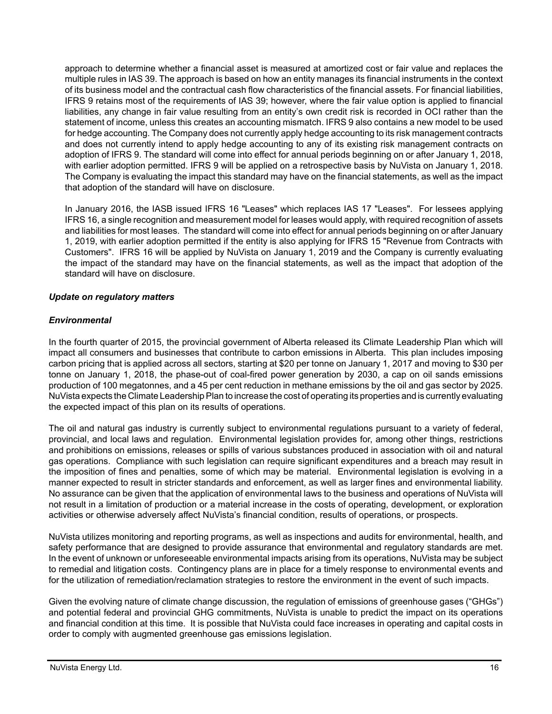approach to determine whether a financial asset is measured at amortized cost or fair value and replaces the multiple rules in IAS 39. The approach is based on how an entity manages its financial instruments in the context of its business model and the contractual cash flow characteristics of the financial assets. For financial liabilities, IFRS 9 retains most of the requirements of IAS 39; however, where the fair value option is applied to financial liabilities, any change in fair value resulting from an entity's own credit risk is recorded in OCI rather than the statement of income, unless this creates an accounting mismatch. IFRS 9 also contains a new model to be used for hedge accounting. The Company does not currently apply hedge accounting to its risk management contracts and does not currently intend to apply hedge accounting to any of its existing risk management contracts on adoption of IFRS 9. The standard will come into effect for annual periods beginning on or after January 1, 2018, with earlier adoption permitted. IFRS 9 will be applied on a retrospective basis by NuVista on January 1, 2018. The Company is evaluating the impact this standard may have on the financial statements, as well as the impact that adoption of the standard will have on disclosure.

In January 2016, the IASB issued IFRS 16 "Leases" which replaces IAS 17 "Leases". For lessees applying IFRS 16, a single recognition and measurement model for leases would apply, with required recognition of assets and liabilities for most leases. The standard will come into effect for annual periods beginning on or after January 1, 2019, with earlier adoption permitted if the entity is also applying for IFRS 15 "Revenue from Contracts with Customers". IFRS 16 will be applied by NuVista on January 1, 2019 and the Company is currently evaluating the impact of the standard may have on the financial statements, as well as the impact that adoption of the standard will have on disclosure.

# *Update on regulatory matters*

# *Environmental*

In the fourth quarter of 2015, the provincial government of Alberta released its Climate Leadership Plan which will impact all consumers and businesses that contribute to carbon emissions in Alberta. This plan includes imposing carbon pricing that is applied across all sectors, starting at \$20 per tonne on January 1, 2017 and moving to \$30 per tonne on January 1, 2018, the phase-out of coal-fired power generation by 2030, a cap on oil sands emissions production of 100 megatonnes, and a 45 per cent reduction in methane emissions by the oil and gas sector by 2025. NuVista expects the Climate Leadership Plan to increase the cost of operating its properties and is currently evaluating the expected impact of this plan on its results of operations.

The oil and natural gas industry is currently subject to environmental regulations pursuant to a variety of federal, provincial, and local laws and regulation. Environmental legislation provides for, among other things, restrictions and prohibitions on emissions, releases or spills of various substances produced in association with oil and natural gas operations. Compliance with such legislation can require significant expenditures and a breach may result in the imposition of fines and penalties, some of which may be material. Environmental legislation is evolving in a manner expected to result in stricter standards and enforcement, as well as larger fines and environmental liability. No assurance can be given that the application of environmental laws to the business and operations of NuVista will not result in a limitation of production or a material increase in the costs of operating, development, or exploration activities or otherwise adversely affect NuVista's financial condition, results of operations, or prospects.

NuVista utilizes monitoring and reporting programs, as well as inspections and audits for environmental, health, and safety performance that are designed to provide assurance that environmental and regulatory standards are met. In the event of unknown or unforeseeable environmental impacts arising from its operations, NuVista may be subject to remedial and litigation costs. Contingency plans are in place for a timely response to environmental events and for the utilization of remediation/reclamation strategies to restore the environment in the event of such impacts.

Given the evolving nature of climate change discussion, the regulation of emissions of greenhouse gases ("GHGs") and potential federal and provincial GHG commitments, NuVista is unable to predict the impact on its operations and financial condition at this time. It is possible that NuVista could face increases in operating and capital costs in order to comply with augmented greenhouse gas emissions legislation.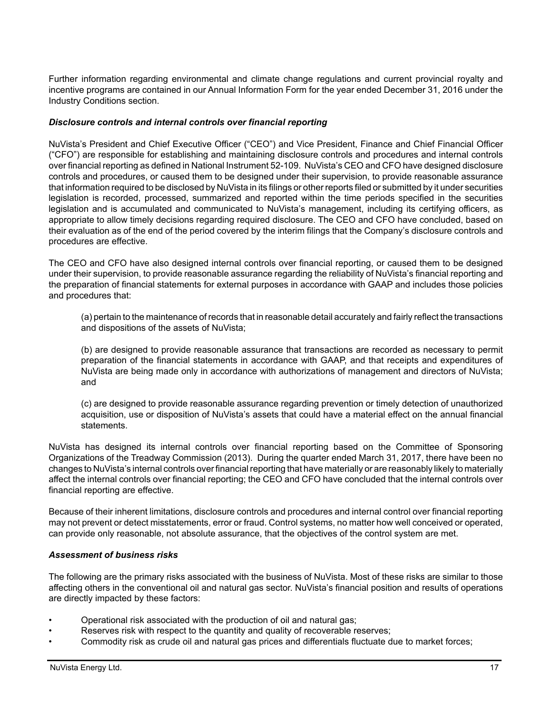Further information regarding environmental and climate change regulations and current provincial royalty and incentive programs are contained in our Annual Information Form for the year ended December 31, 2016 under the Industry Conditions section.

## *Disclosure controls and internal controls over financial reporting*

NuVista's President and Chief Executive Officer ("CEO") and Vice President, Finance and Chief Financial Officer ("CFO") are responsible for establishing and maintaining disclosure controls and procedures and internal controls over financial reporting as defined in National Instrument 52-109. NuVista's CEO and CFO have designed disclosure controls and procedures, or caused them to be designed under their supervision, to provide reasonable assurance that information required to be disclosed by NuVista in its filings or other reports filed or submitted by it under securities legislation is recorded, processed, summarized and reported within the time periods specified in the securities legislation and is accumulated and communicated to NuVista's management, including its certifying officers, as appropriate to allow timely decisions regarding required disclosure. The CEO and CFO have concluded, based on their evaluation as of the end of the period covered by the interim filings that the Company's disclosure controls and procedures are effective.

The CEO and CFO have also designed internal controls over financial reporting, or caused them to be designed under their supervision, to provide reasonable assurance regarding the reliability of NuVista's financial reporting and the preparation of financial statements for external purposes in accordance with GAAP and includes those policies and procedures that:

(a) pertain to the maintenance of records that in reasonable detail accurately and fairly reflect the transactions and dispositions of the assets of NuVista;

(b) are designed to provide reasonable assurance that transactions are recorded as necessary to permit preparation of the financial statements in accordance with GAAP, and that receipts and expenditures of NuVista are being made only in accordance with authorizations of management and directors of NuVista; and

(c) are designed to provide reasonable assurance regarding prevention or timely detection of unauthorized acquisition, use or disposition of NuVista's assets that could have a material effect on the annual financial statements.

NuVista has designed its internal controls over financial reporting based on the Committee of Sponsoring Organizations of the Treadway Commission (2013). During the quarter ended March 31, 2017, there have been no changes to NuVista's internal controls over financial reporting that have materially or are reasonably likely to materially affect the internal controls over financial reporting; the CEO and CFO have concluded that the internal controls over financial reporting are effective.

Because of their inherent limitations, disclosure controls and procedures and internal control over financial reporting may not prevent or detect misstatements, error or fraud. Control systems, no matter how well conceived or operated, can provide only reasonable, not absolute assurance, that the objectives of the control system are met.

## *Assessment of business risks*

The following are the primary risks associated with the business of NuVista. Most of these risks are similar to those affecting others in the conventional oil and natural gas sector. NuVista's financial position and results of operations are directly impacted by these factors:

- Operational risk associated with the production of oil and natural gas;
- Reserves risk with respect to the quantity and quality of recoverable reserves;
- Commodity risk as crude oil and natural gas prices and differentials fluctuate due to market forces;